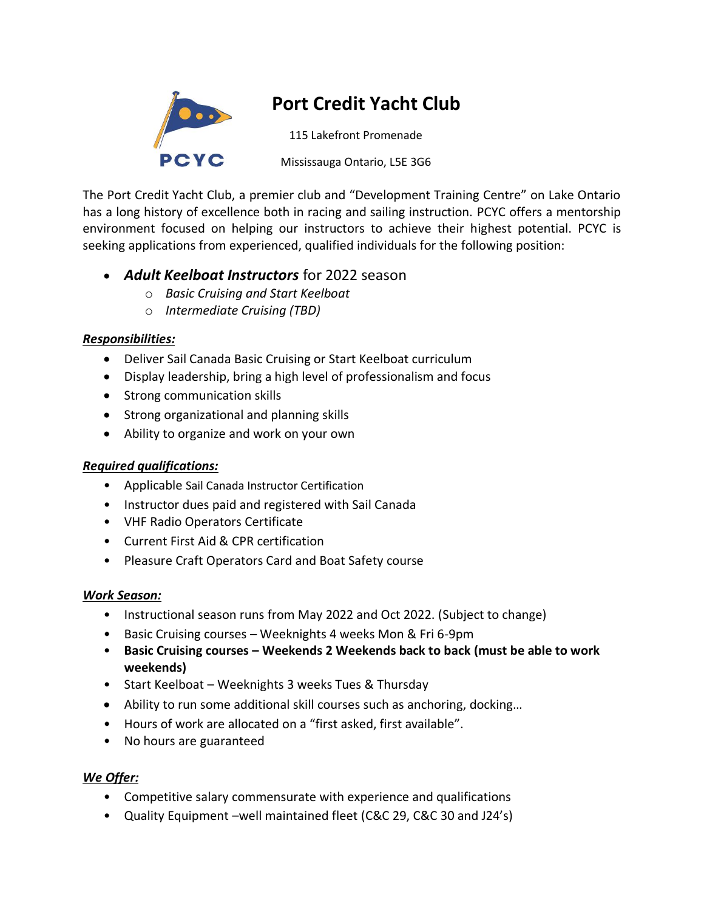

# **Port Credit Yacht Club**

115 Lakefront Promenade

Mississauga Ontario, L5E 3G6

The Port Credit Yacht Club, a premier club and "Development Training Centre" on Lake Ontario has a long history of excellence both in racing and sailing instruction. PCYC offers a mentorship environment focused on helping our instructors to achieve their highest potential. PCYC is seeking applications from experienced, qualified individuals for the following position:

## • *Adult Keelboat Instructors* for 2022 season

- o *Basic Cruising and Start Keelboat*
- o *Intermediate Cruising (TBD)*

### *Responsibilities:*

- Deliver Sail Canada Basic Cruising or Start Keelboat curriculum
- Display leadership, bring a high level of professionalism and focus
- Strong communication skills
- Strong organizational and planning skills
- Ability to organize and work on your own

### *Required qualifications:*

- Applicable Sail Canada Instructor Certification
- Instructor dues paid and registered with Sail Canada
- VHF Radio Operators Certificate
- Current First Aid & CPR certification
- Pleasure Craft Operators Card and Boat Safety course

### *Work Season:*

- Instructional season runs from May 2022 and Oct 2022. (Subject to change)
- Basic Cruising courses Weeknights 4 weeks Mon & Fri 6-9pm
- **Basic Cruising courses – Weekends 2 Weekends back to back (must be able to work weekends)**
- Start Keelboat Weeknights 3 weeks Tues & Thursday
- Ability to run some additional skill courses such as anchoring, docking...
- Hours of work are allocated on a "first asked, first available".
- No hours are guaranteed

### *We Offer:*

- Competitive salary commensurate with experience and qualifications
- Quality Equipment –well maintained fleet (C&C 29, C&C 30 and J24's)